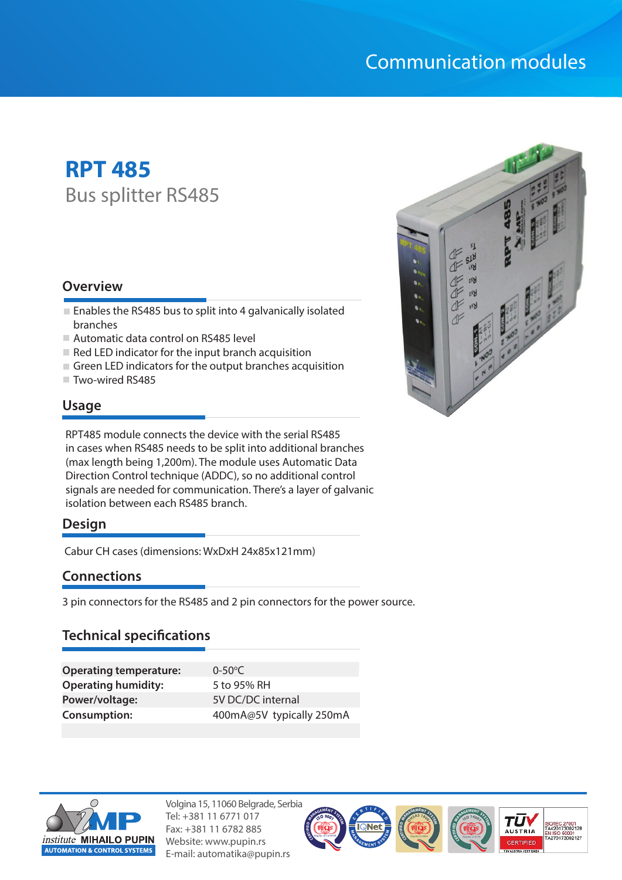# Communication modules

# **RPT 485** Bus splitter RS485

#### **Overview**

- $\blacksquare$  Enables the RS485 bus to split into 4 galvanically isolated branches
- Automatic data control on RS485 level
- $\blacksquare$  Red LED indicator for the input branch acquisition
- $\blacksquare$  Green LED indicators for the output branches acquisition
- Two-wired RS485

# **Usage**

RPT485 module connects the device with the serial RS485 in cases when RS485 needs to be split into additional branches (max length being 1,200m). The module uses Automatic Data Direction Control technique (ADDC), so no additional control signals are needed for communication. There's a layer of galvanic isolation between each RS485 branch.

# **Design**

Cabur CH cases (dimensions: WxDxH 24x85x121mm)

# **Connections**

3 pin connectors for the RS485 and 2 pin connectors for the power source.

# **Technical specifications**

| <b>Operating temperature:</b> | $0 - 50^{\circ}$ C       |
|-------------------------------|--------------------------|
| <b>Operating humidity:</b>    | 5 to 95% RH              |
| Power/voltage:                | 5V DC/DC internal        |
| <b>Consumption:</b>           | 400mA@5V typically 250mA |



Volgina 15, 11060 Belgrade, Serbia Tel: +381 11 6771 017 Fax: +381 11 6782 885 Website: www.pupin.rs E-mail: automatika@pupin.rs